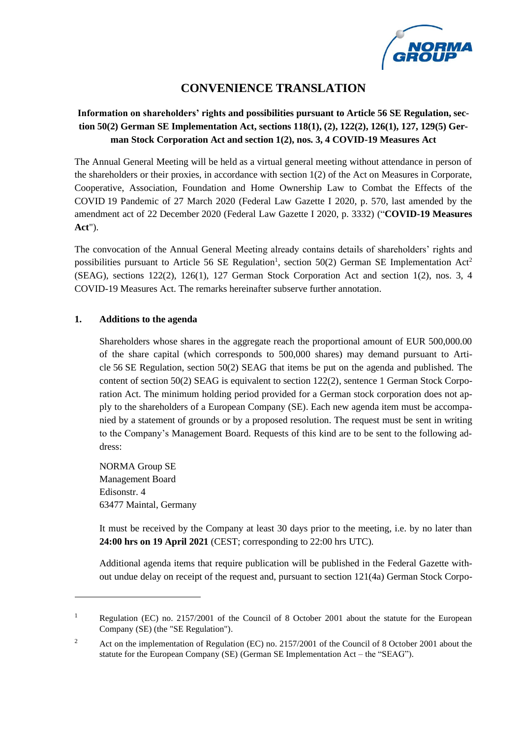

# **CONVENIENCE TRANSLATION**

# **Information on shareholders' rights and possibilities pursuant to Article 56 SE Regulation, section 50(2) German SE Implementation Act, sections 118(1), (2), 122(2), 126(1), 127, 129(5) German Stock Corporation Act and section 1(2), nos. 3, 4 COVID-19 Measures Act**

The Annual General Meeting will be held as a virtual general meeting without attendance in person of the shareholders or their proxies, in accordance with section 1(2) of the Act on Measures in Corporate, Cooperative, Association, Foundation and Home Ownership Law to Combat the Effects of the COVID 19 Pandemic of 27 March 2020 (Federal Law Gazette I 2020, p. 570, last amended by the amendment act of 22 December 2020 (Federal Law Gazette I 2020, p. 3332) ("**COVID-19 Measures Act**").

The convocation of the Annual General Meeting already contains details of shareholders' rights and possibilities pursuant to Article 56 SE Regulation<sup>1</sup>, section 50(2) German SE Implementation Act<sup>2</sup> (SEAG), sections 122(2), 126(1), 127 German Stock Corporation Act and section 1(2), nos. 3, 4 COVID-19 Measures Act. The remarks hereinafter subserve further annotation.

## **1. Additions to the agenda**

Shareholders whose shares in the aggregate reach the proportional amount of EUR 500,000.00 of the share capital (which corresponds to 500,000 shares) may demand pursuant to Article 56 SE Regulation, section 50(2) SEAG that items be put on the agenda and published. The content of section 50(2) SEAG is equivalent to section 122(2), sentence 1 German Stock Corporation Act. The minimum holding period provided for a German stock corporation does not apply to the shareholders of a European Company (SE). Each new agenda item must be accompanied by a statement of grounds or by a proposed resolution. The request must be sent in writing to the Company's Management Board. Requests of this kind are to be sent to the following address:

NORMA Group SE Management Board Edisonstr. 4 63477 Maintal, Germany

It must be received by the Company at least 30 days prior to the meeting, i.e. by no later than **24:00 hrs on 19 April 2021** (CEST; corresponding to 22:00 hrs UTC).

Additional agenda items that require publication will be published in the Federal Gazette without undue delay on receipt of the request and, pursuant to section 121(4a) German Stock Corpo-

<sup>&</sup>lt;sup>1</sup> Regulation (EC) no. 2157/2001 of the Council of 8 October 2001 about the statute for the European Company (SE) (the "SE Regulation").

<sup>&</sup>lt;sup>2</sup> Act on the implementation of Regulation (EC) no. 2157/2001 of the Council of 8 October 2001 about the statute for the European Company (SE) (German SE Implementation Act – the "SEAG").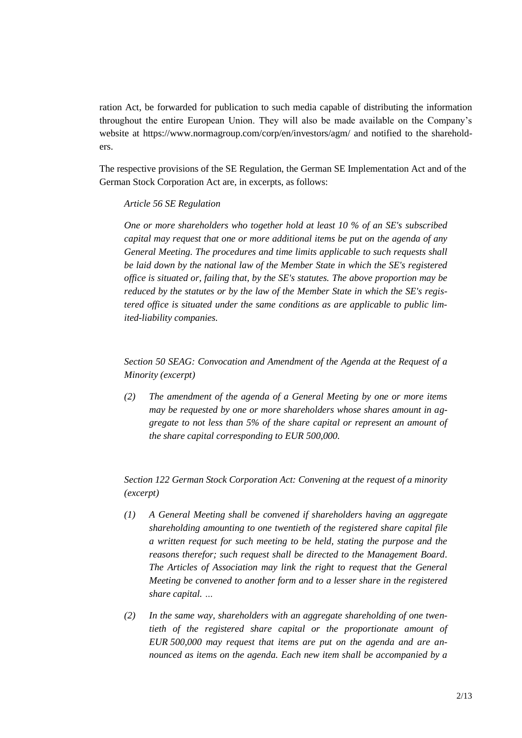ration Act, be forwarded for publication to such media capable of distributing the information throughout the entire European Union. They will also be made available on the Company's website at https://www.normagroup.com/corp/en/investors/agm/ and notified to the shareholders.

The respective provisions of the SE Regulation, the German SE Implementation Act and of the German Stock Corporation Act are, in excerpts, as follows:

#### *Article 56 SE Regulation*

*One or more shareholders who together hold at least 10 % of an SE's subscribed capital may request that one or more additional items be put on the agenda of any General Meeting. The procedures and time limits applicable to such requests shall be laid down by the national law of the Member State in which the SE's registered office is situated or, failing that, by the SE's statutes. The above proportion may be reduced by the statutes or by the law of the Member State in which the SE's registered office is situated under the same conditions as are applicable to public limited-liability companies.*

*Section 50 SEAG: Convocation and Amendment of the Agenda at the Request of a Minority (excerpt)*

*(2) The amendment of the agenda of a General Meeting by one or more items may be requested by one or more shareholders whose shares amount in aggregate to not less than 5% of the share capital or represent an amount of the share capital corresponding to EUR 500,000.*

*Section 122 German Stock Corporation Act: Convening at the request of a minority (excerpt)*

- *(1) A General Meeting shall be convened if shareholders having an aggregate shareholding amounting to one twentieth of the registered share capital file a written request for such meeting to be held, stating the purpose and the reasons therefor; such request shall be directed to the Management Board. The Articles of Association may link the right to request that the General Meeting be convened to another form and to a lesser share in the registered share capital. …*
- *(2) In the same way, shareholders with an aggregate shareholding of one twentieth of the registered share capital or the proportionate amount of EUR 500,000 may request that items are put on the agenda and are announced as items on the agenda. Each new item shall be accompanied by a*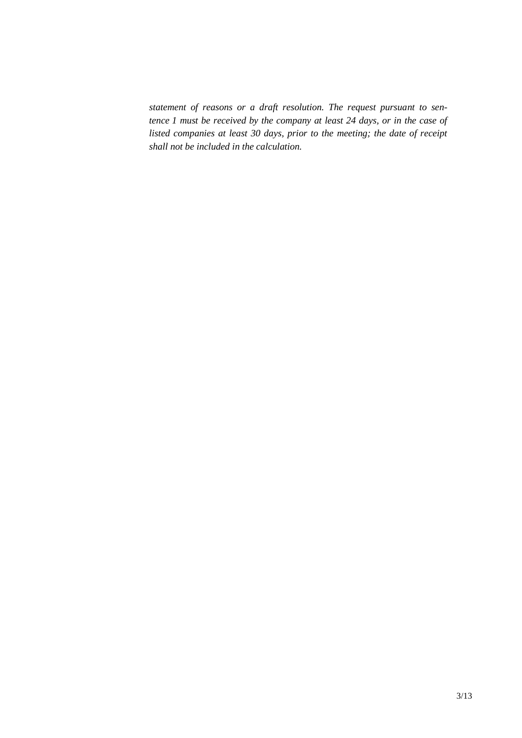*statement of reasons or a draft resolution. The request pursuant to sentence 1 must be received by the company at least 24 days, or in the case of listed companies at least 30 days, prior to the meeting; the date of receipt shall not be included in the calculation.*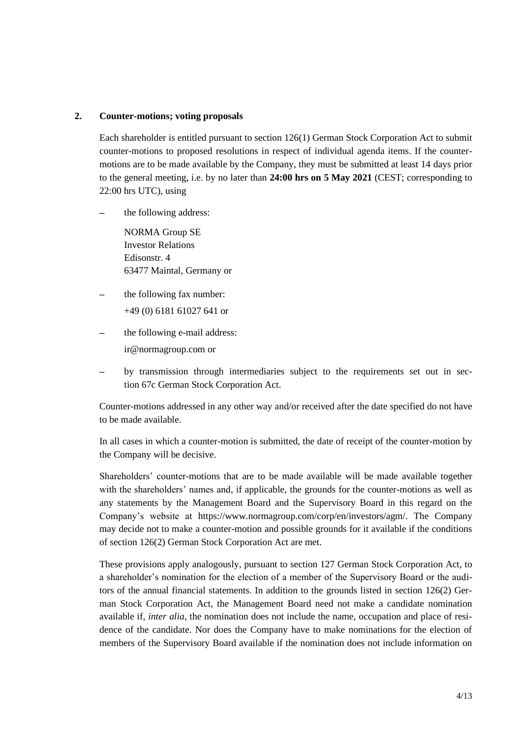#### **2. Counter-motions; voting proposals**

Each shareholder is entitled pursuant to section 126(1) German Stock Corporation Act to submit counter-motions to proposed resolutions in respect of individual agenda items. If the countermotions are to be made available by the Company, they must be submitted at least 14 days prior to the general meeting, i.e. by no later than **24:00 hrs on 5 May 2021** (CEST; corresponding to 22:00 hrs UTC), using

the following address:

NORMA Group SE Investor Relations Edisonstr. 4 63477 Maintal, Germany or

- the following fax number:
	- +49 (0) 6181 61027 641 or
- the following e-mail address: ir@normagroup.com or
- by transmission through intermediaries subject to the requirements set out in section 67c German Stock Corporation Act.

Counter-motions addressed in any other way and/or received after the date specified do not have to be made available.

In all cases in which a counter-motion is submitted, the date of receipt of the counter-motion by the Company will be decisive.

Shareholders' counter-motions that are to be made available will be made available together with the shareholders' names and, if applicable, the grounds for the counter-motions as well as any statements by the Management Board and the Supervisory Board in this regard on the Company's website at https://www.normagroup.com/corp/en/investors/agm/. The Company may decide not to make a counter-motion and possible grounds for it available if the conditions of section 126(2) German Stock Corporation Act are met.

These provisions apply analogously, pursuant to section 127 German Stock Corporation Act, to a shareholder's nomination for the election of a member of the Supervisory Board or the auditors of the annual financial statements. In addition to the grounds listed in section 126(2) German Stock Corporation Act, the Management Board need not make a candidate nomination available if, *inter alia*, the nomination does not include the name, occupation and place of residence of the candidate. Nor does the Company have to make nominations for the election of members of the Supervisory Board available if the nomination does not include information on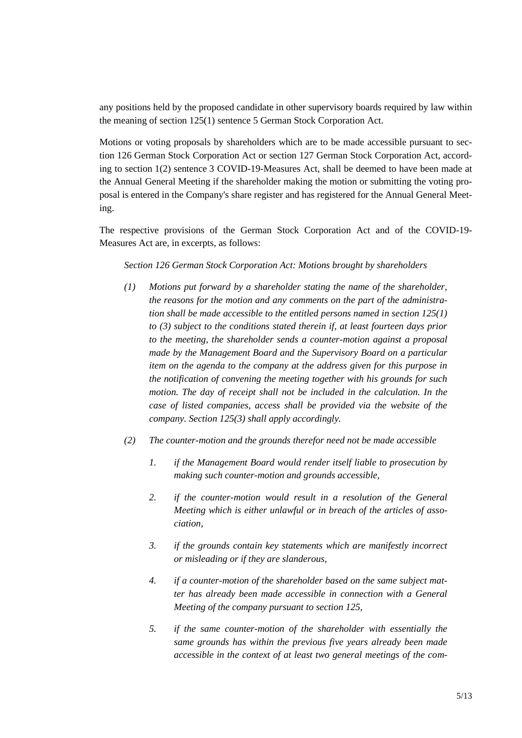any positions held by the proposed candidate in other supervisory boards required by law within the meaning of section 125(1) sentence 5 German Stock Corporation Act.

Motions or voting proposals by shareholders which are to be made accessible pursuant to section 126 German Stock Corporation Act or section 127 German Stock Corporation Act, according to section 1(2) sentence 3 COVID-19-Measures Act, shall be deemed to have been made at the Annual General Meeting if the shareholder making the motion or submitting the voting proposal is entered in the Company's share register and has registered for the Annual General Meeting.

The respective provisions of the German Stock Corporation Act and of the COVID-19- Measures Act are, in excerpts, as follows:

*Section 126 German Stock Corporation Act: Motions brought by shareholders*

- *(1) Motions put forward by a shareholder stating the name of the shareholder, the reasons for the motion and any comments on the part of the administration shall be made accessible to the entitled persons named in section 125(1) to (3) subject to the conditions stated therein if, at least fourteen days prior to the meeting, the shareholder sends a counter-motion against a proposal made by the Management Board and the Supervisory Board on a particular item on the agenda to the company at the address given for this purpose in the notification of convening the meeting together with his grounds for such motion. The day of receipt shall not be included in the calculation. In the case of listed companies, access shall be provided via the website of the company. Section 125(3) shall apply accordingly.*
- *(2) The counter-motion and the grounds therefor need not be made accessible*
	- *1. if the Management Board would render itself liable to prosecution by making such counter-motion and grounds accessible,*
	- *2. if the counter-motion would result in a resolution of the General Meeting which is either unlawful or in breach of the articles of association,*
	- *3. if the grounds contain key statements which are manifestly incorrect or misleading or if they are slanderous,*
	- *4. if a counter-motion of the shareholder based on the same subject matter has already been made accessible in connection with a General Meeting of the company pursuant to section 125,*
	- *5. if the same counter-motion of the shareholder with essentially the same grounds has within the previous five years already been made accessible in the context of at least two general meetings of the com-*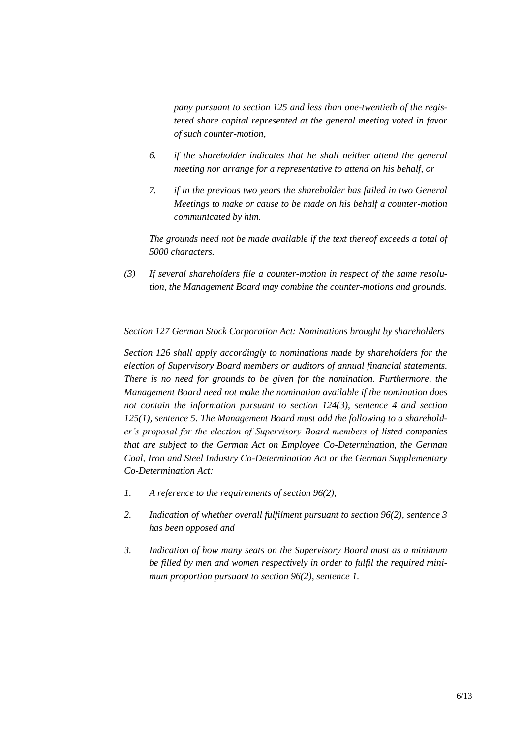*pany pursuant to section 125 and less than one-twentieth of the registered share capital represented at the general meeting voted in favor of such counter-motion,*

- *6. if the shareholder indicates that he shall neither attend the general meeting nor arrange for a representative to attend on his behalf, or*
- *7. if in the previous two years the shareholder has failed in two General Meetings to make or cause to be made on his behalf a counter-motion communicated by him.*

*The grounds need not be made available if the text thereof exceeds a total of 5000 characters.*

*(3) If several shareholders file a counter-motion in respect of the same resolution, the Management Board may combine the counter-motions and grounds.*

*Section 127 German Stock Corporation Act: Nominations brought by shareholders* 

*Section 126 shall apply accordingly to nominations made by shareholders for the election of Supervisory Board members or auditors of annual financial statements. There is no need for grounds to be given for the nomination. Furthermore, the Management Board need not make the nomination available if the nomination does not contain the information pursuant to section 124(3), sentence 4 and section 125(1), sentence 5. The Management Board must add the following to a shareholder's proposal for the election of Supervisory Board members of listed companies that are subject to the German Act on Employee Co-Determination, the German Coal, Iron and Steel Industry Co-Determination Act or the German Supplementary Co-Determination Act:*

- *1. A reference to the requirements of section 96(2),*
- *2. Indication of whether overall fulfilment pursuant to section 96(2), sentence 3 has been opposed and*
- *3. Indication of how many seats on the Supervisory Board must as a minimum be filled by men and women respectively in order to fulfil the required minimum proportion pursuant to section 96(2), sentence 1.*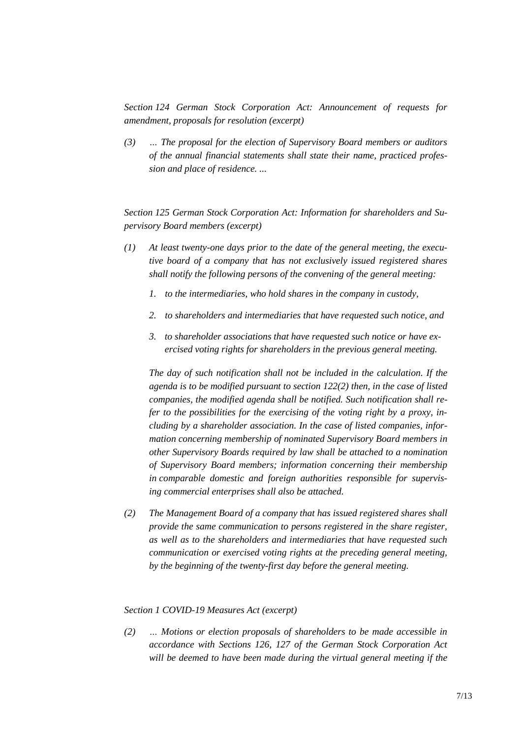*Section 124 German Stock Corporation Act: Announcement of requests for amendment, proposals for resolution (excerpt)*

*(3) … The proposal for the election of Supervisory Board members or auditors of the annual financial statements shall state their name, practiced profession and place of residence. ...*

*Section 125 German Stock Corporation Act: Information for shareholders and Supervisory Board members (excerpt)*

- *(1) At least twenty-one days prior to the date of the general meeting, the executive board of a company that has not exclusively issued registered shares shall notify the following persons of the convening of the general meeting:*
	- *1. to the intermediaries, who hold shares in the company in custody,*
	- *2. to shareholders and intermediaries that have requested such notice, and*
	- *3. to shareholder associations that have requested such notice or have exercised voting rights for shareholders in the previous general meeting.*

*The day of such notification shall not be included in the calculation. If the agenda is to be modified pursuant to section 122(2) then, in the case of listed companies, the modified agenda shall be notified. Such notification shall refer to the possibilities for the exercising of the voting right by a proxy, including by a shareholder association. In the case of listed companies, information concerning membership of nominated Supervisory Board members in other Supervisory Boards required by law shall be attached to a nomination of Supervisory Board members; information concerning their membership in comparable domestic and foreign authorities responsible for supervising commercial enterprises shall also be attached.*

*(2) The Management Board of a company that has issued registered shares shall provide the same communication to persons registered in the share register, as well as to the shareholders and intermediaries that have requested such communication or exercised voting rights at the preceding general meeting, by the beginning of the twenty-first day before the general meeting.*

#### *Section 1 COVID-19 Measures Act (excerpt)*

*(2) … Motions or election proposals of shareholders to be made accessible in accordance with Sections 126, 127 of the German Stock Corporation Act will be deemed to have been made during the virtual general meeting if the*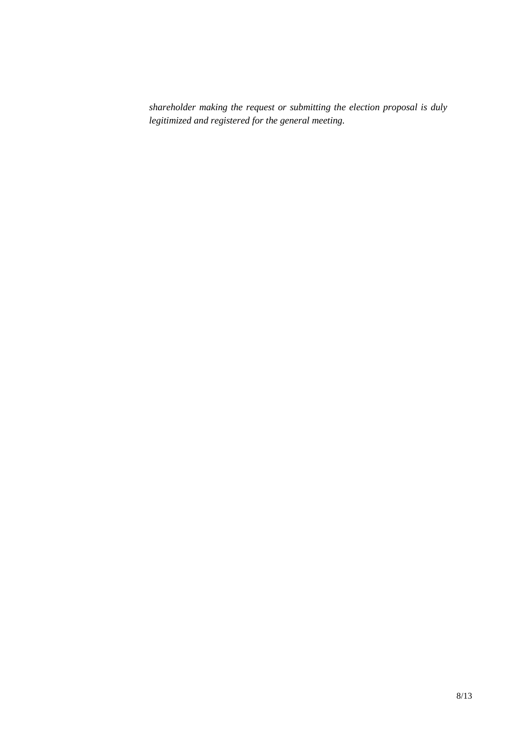*shareholder making the request or submitting the election proposal is duly legitimized and registered for the general meeting.*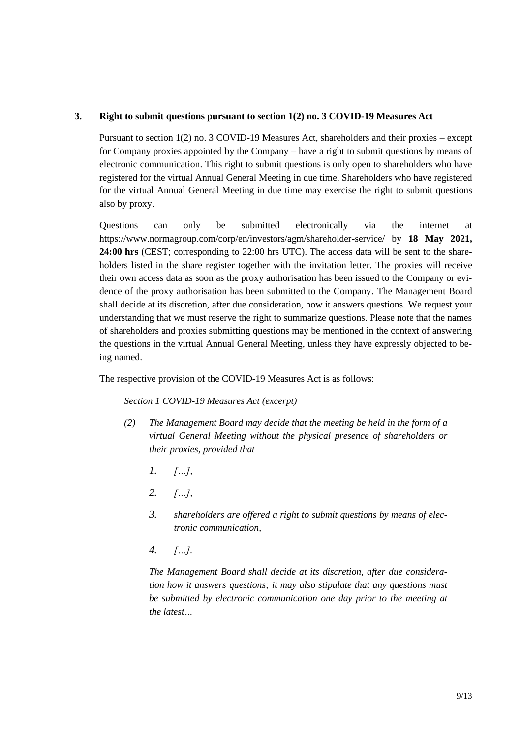### **3. Right to submit questions pursuant to section 1(2) no. 3 COVID-19 Measures Act**

Pursuant to section 1(2) no. 3 COVID-19 Measures Act, shareholders and their proxies – except for Company proxies appointed by the Company – have a right to submit questions by means of electronic communication. This right to submit questions is only open to shareholders who have registered for the virtual Annual General Meeting in due time. Shareholders who have registered for the virtual Annual General Meeting in due time may exercise the right to submit questions also by proxy.

Questions can only be submitted electronically via the internet at https://www.normagroup.com/corp/en/investors/agm/shareholder-service/ by **18 May 2021, 24:00 hrs** (CEST; corresponding to 22:00 hrs UTC). The access data will be sent to the shareholders listed in the share register together with the invitation letter. The proxies will receive their own access data as soon as the proxy authorisation has been issued to the Company or evidence of the proxy authorisation has been submitted to the Company. The Management Board shall decide at its discretion, after due consideration, how it answers questions. We request your understanding that we must reserve the right to summarize questions. Please note that the names of shareholders and proxies submitting questions may be mentioned in the context of answering the questions in the virtual Annual General Meeting, unless they have expressly objected to being named.

The respective provision of the COVID-19 Measures Act is as follows:

*Section 1 COVID-19 Measures Act (excerpt)*

- *(2) The Management Board may decide that the meeting be held in the form of a virtual General Meeting without the physical presence of shareholders or their proxies, provided that*
	- *1. […],*
	- *2. […],*
	- *3. shareholders are offered a right to submit questions by means of electronic communication,*
	- *4. […].*

*The Management Board shall decide at its discretion, after due consideration how it answers questions; it may also stipulate that any questions must be submitted by electronic communication one day prior to the meeting at the latest…*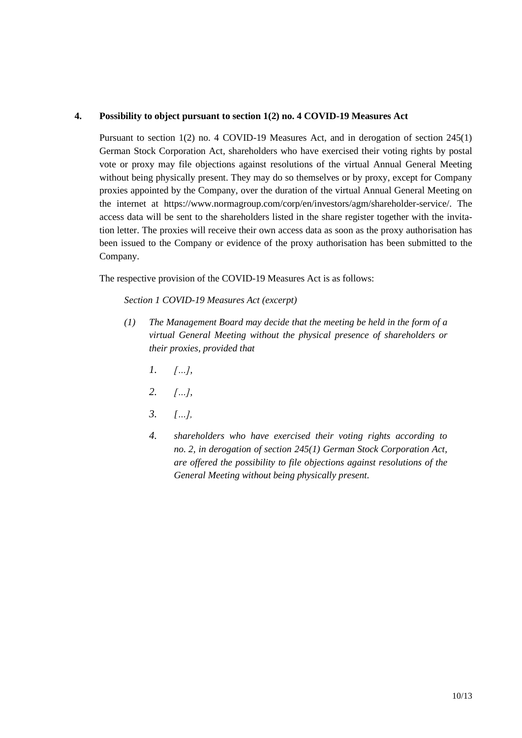### **4. Possibility to object pursuant to section 1(2) no. 4 COVID-19 Measures Act**

Pursuant to section 1(2) no. 4 COVID-19 Measures Act, and in derogation of section 245(1) German Stock Corporation Act, shareholders who have exercised their voting rights by postal vote or proxy may file objections against resolutions of the virtual Annual General Meeting without being physically present. They may do so themselves or by proxy, except for Company proxies appointed by the Company, over the duration of the virtual Annual General Meeting on the internet at https://www.normagroup.com/corp/en/investors/agm/shareholder-service/. The access data will be sent to the shareholders listed in the share register together with the invitation letter. The proxies will receive their own access data as soon as the proxy authorisation has been issued to the Company or evidence of the proxy authorisation has been submitted to the Company.

The respective provision of the COVID-19 Measures Act is as follows:

*Section 1 COVID-19 Measures Act (excerpt)*

- *(1) The Management Board may decide that the meeting be held in the form of a virtual General Meeting without the physical presence of shareholders or their proxies, provided that*
	- *1. […],*
	- *2. […],*
	- *3. […],*
	- *4. shareholders who have exercised their voting rights according to no. 2, in derogation of section 245(1) German Stock Corporation Act, are offered the possibility to file objections against resolutions of the General Meeting without being physically present.*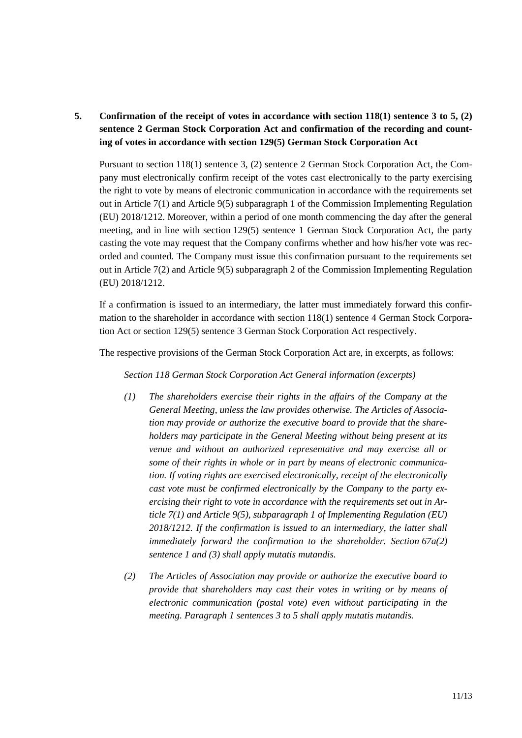# **5. Confirmation of the receipt of votes in accordance with section 118(1) sentence 3 to 5, (2) sentence 2 German Stock Corporation Act and confirmation of the recording and counting of votes in accordance with section 129(5) German Stock Corporation Act**

Pursuant to section 118(1) sentence 3, (2) sentence 2 German Stock Corporation Act, the Company must electronically confirm receipt of the votes cast electronically to the party exercising the right to vote by means of electronic communication in accordance with the requirements set out in Article 7(1) and Article 9(5) subparagraph 1 of the Commission Implementing Regulation (EU) 2018/1212. Moreover, within a period of one month commencing the day after the general meeting, and in line with section 129(5) sentence 1 German Stock Corporation Act, the party casting the vote may request that the Company confirms whether and how his/her vote was recorded and counted. The Company must issue this confirmation pursuant to the requirements set out in Article 7(2) and Article 9(5) subparagraph 2 of the Commission Implementing Regulation (EU) 2018/1212.

If a confirmation is issued to an intermediary, the latter must immediately forward this confirmation to the shareholder in accordance with section 118(1) sentence 4 German Stock Corporation Act or section 129(5) sentence 3 German Stock Corporation Act respectively.

The respective provisions of the German Stock Corporation Act are, in excerpts, as follows:

*Section 118 German Stock Corporation Act General information (excerpts)*

- *(1) The shareholders exercise their rights in the affairs of the Company at the General Meeting, unless the law provides otherwise. The Articles of Association may provide or authorize the executive board to provide that the shareholders may participate in the General Meeting without being present at its venue and without an authorized representative and may exercise all or some of their rights in whole or in part by means of electronic communication. If voting rights are exercised electronically, receipt of the electronically cast vote must be confirmed electronically by the Company to the party exercising their right to vote in accordance with the requirements set out in Article 7(1) and Article 9(5), subparagraph 1 of Implementing Regulation (EU) 2018/1212. If the confirmation is issued to an intermediary, the latter shall immediately forward the confirmation to the shareholder. Section 67a(2) sentence 1 and (3) shall apply mutatis mutandis.*
- *(2) The Articles of Association may provide or authorize the executive board to provide that shareholders may cast their votes in writing or by means of electronic communication (postal vote) even without participating in the meeting. Paragraph 1 sentences 3 to 5 shall apply mutatis mutandis.*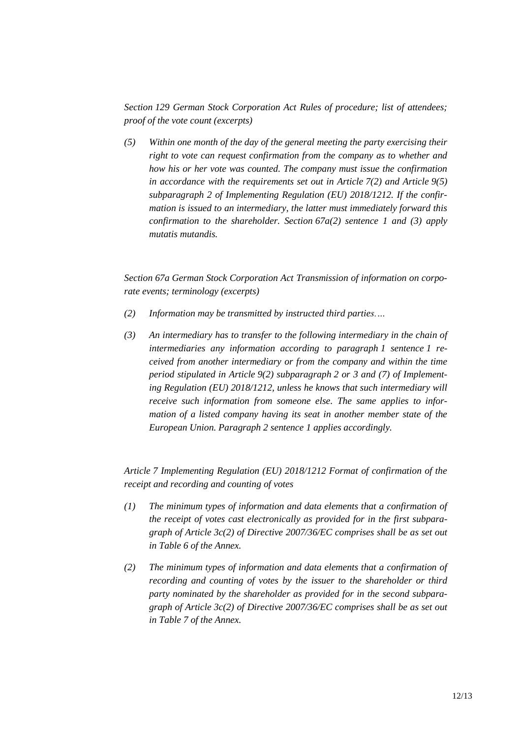*Section 129 German Stock Corporation Act Rules of procedure; list of attendees; proof of the vote count (excerpts)*

*(5) Within one month of the day of the general meeting the party exercising their right to vote can request confirmation from the company as to whether and how his or her vote was counted. The company must issue the confirmation in accordance with the requirements set out in Article 7(2) and Article 9(5) subparagraph 2 of Implementing Regulation (EU) 2018/1212. If the confirmation is issued to an intermediary, the latter must immediately forward this confirmation to the shareholder. Section 67a(2) sentence 1 and (3) apply mutatis mutandis.*

*Section 67a German Stock Corporation Act Transmission of information on corporate events; terminology (excerpts)*

- *(2) Information may be transmitted by instructed third parties.…*
- *(3) An intermediary has to transfer to the following intermediary in the chain of intermediaries any information according to paragraph 1 sentence 1 received from another intermediary or from the company and within the time period stipulated in Article 9(2) subparagraph 2 or 3 and (7) of Implementing Regulation (EU) 2018/1212, unless he knows that such intermediary will receive such information from someone else. The same applies to information of a listed company having its seat in another member state of the European Union. Paragraph 2 sentence 1 applies accordingly.*

*Article 7 Implementing Regulation (EU) 2018/1212 Format of confirmation of the receipt and recording and counting of votes*

- *(1) The minimum types of information and data elements that a confirmation of the receipt of votes cast electronically as provided for in the first subparagraph of Article 3c(2) of Directive 2007/36/EC comprises shall be as set out in Table 6 of the Annex.*
- *(2) The minimum types of information and data elements that a confirmation of recording and counting of votes by the issuer to the shareholder or third party nominated by the shareholder as provided for in the second subparagraph of Article 3c(2) of Directive 2007/36/EC comprises shall be as set out in Table 7 of the Annex.*